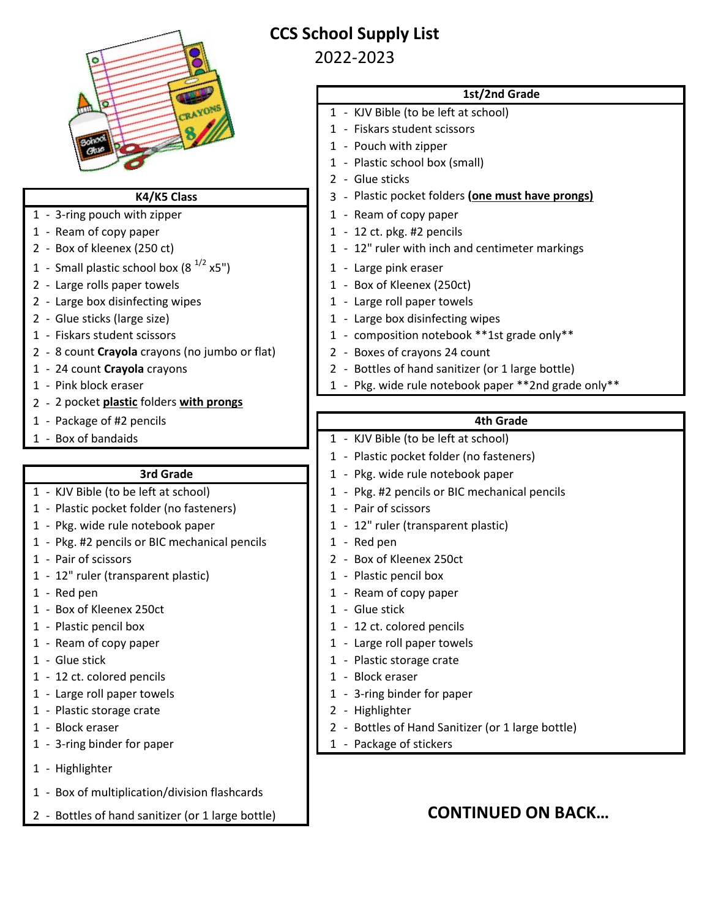

# **CCS School Supply List**

## 2022-2023

### **1st/2nd Grade**

- 1 KJV Bible (to be left at school)
- 1 Fiskars student scissors
- 1 Pouch with zipper
- 1 Plastic school box (small)
- 2 Glue sticks
- 3 Plastic pocket folders **(one must have prongs)**
- 1 3-ring pouch with zipper  $1 3$  Ream of copy paper
- 1 Ream of copy paper 1 12 ct. pkg. #2 pencils
- 2 Box of kleenex (250 ct) 1 12" ruler with inch and centimeter markings
	-
	-
	-
- 2 Glue sticks (large size) 1 Large box disinfecting wipes
- 1 Fiskars student scissors 1 composition notebook \*\*1st grade only\*\*
	-
- 1 24 count **Crayola** crayons 2 Bottles of hand sanitizer (or 1 large bottle)
- 1 Pink block eraser 1 Pkg. wide rule notebook paper \*\*2nd grade only\*\*

## **4th Grade**

- 1 Box of bandaids 1 KJV Bible (to be left at school)
	- 1 Plastic pocket folder (no fasteners)
	- 1 Pkg. wide rule notebook paper
- 1 KJV Bible (to be left at school) 1 Pkg. #2 pencils or BIC mechanical pencils
	-
	-
	-
- 1 Pair of scissors 250ct
	-
- 1 Red pen 1 Ream of copy paper
	-
- 1 Plastic pencil box 1 12 ct. colored pencils
- 1 Ream of copy paper 1 Large roll paper towels
- 1 Glue stick 1 Plastic storage crate
	-
	-
	-
- 1 Block eraser 2 Bottles of Hand Sanitizer (or 1 large bottle)
	-

# **K4/K5 Class**

- 
- 
- 
- 1 Small plastic school box  $(8^{1/2} \times 5^{n})$  1 Large pink eraser
- 2 Large rolls paper towels  $\begin{array}{ccc} 2 & -1 \\ & 1 & -80 \\ 2 & -1 & -1 \end{array}$  (250ct)
- 2 Large box disinfecting wipes  $1 \t 1 -$  Large roll paper towels
- 
- 
- 2 8 count **Crayola** crayons (no jumbo or flat) 2 Boxes of crayons 24 count
- 
- 
- 2 2 pocket **plastic** folders **with prongs**
- 1 Package of #2 pencils
- 

## **3rd Grade**

- 
- 1 Plastic pocket folder (no fasteners) 1 Pair of scissors
- 1 Pkg. wide rule notebook paper 1 12" ruler (transparent plastic)
- 1 Pkg. #2 pencils or BIC mechanical pencils 1 Red pen
- 
- 1 12" ruler (transparent plastic) 1 Plastic pencil box
- 
- 1 Box of Kleenex 250ct 1 Glue stick
- 
- 
- 
- 1 12 ct. colored pencils 1 Block eraser
- 1 Large roll paper towels 1 3-ring binder for paper
- 1 Plastic storage crate 2 2 Highlighter
- 
- 1 3-ring binder for paper 1 Package of stickers
- 1 Highlighter
- 1 Box of multiplication/division flashcards
- 2 Bottles of hand sanitizer (or 1 large bottle) **CONTINUED ON BACK...**